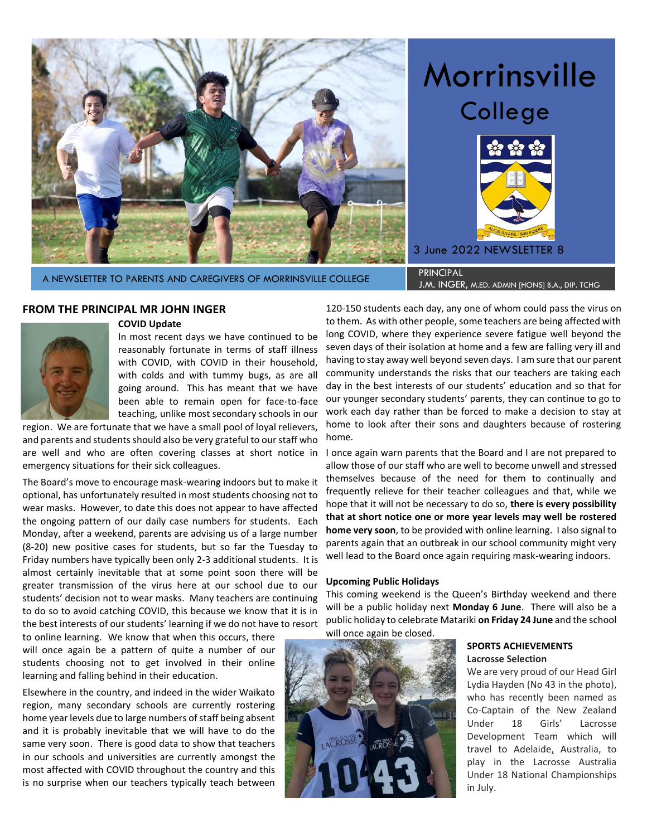

# Morrinsville College



A NEWSLETTER TO PARENTS AND CAREGIVERS OF MORRINSVILLE COLLEGE PRINCIPAL

# J.M. INGER, m.ed. admin [hons] b.a., dip. tchg

## **FROM THE PRINCIPAL MR JOHN INGER**

#### **COVID Update**

In most recent days we have continued to be reasonably fortunate in terms of staff illness with COVID, with COVID in their household, with colds and with tummy bugs, as are all going around. This has meant that we have been able to remain open for face-to-face teaching, unlike most secondary schools in our

region. We are fortunate that we have a small pool of loyal relievers, and parents and students should also be very grateful to our staff who are well and who are often covering classes at short notice in emergency situations for their sick colleagues.

The Board's move to encourage mask-wearing indoors but to make it optional, has unfortunately resulted in most students choosing not to wear masks. However, to date this does not appear to have affected the ongoing pattern of our daily case numbers for students. Each Monday, after a weekend, parents are advising us of a large number (8-20) new positive cases for students, but so far the Tuesday to Friday numbers have typically been only 2-3 additional students. It is almost certainly inevitable that at some point soon there will be greater transmission of the virus here at our school due to our students' decision not to wear masks. Many teachers are continuing to do so to avoid catching COVID, this because we know that it is in the best interests of our students' learning if we do not have to resort

to online learning. We know that when this occurs, there will once again be a pattern of quite a number of our students choosing not to get involved in their online learning and falling behind in their education.

Elsewhere in the country, and indeed in the wider Waikato region, many secondary schools are currently rostering home year levels due to large numbers of staff being absent and it is probably inevitable that we will have to do the same very soon. There is good data to show that teachers in our schools and universities are currently amongst the most affected with COVID throughout the country and this is no surprise when our teachers typically teach between

120-150 students each day, any one of whom could pass the virus on to them. As with other people, some teachers are being affected with long COVID, where they experience severe fatigue well beyond the seven days of their isolation at home and a few are falling very ill and having to stay away well beyond seven days. I am sure that our parent community understands the risks that our teachers are taking each day in the best interests of our students' education and so that for our younger secondary students' parents, they can continue to go to work each day rather than be forced to make a decision to stay at home to look after their sons and daughters because of rostering home.

I once again warn parents that the Board and I are not prepared to allow those of our staff who are well to become unwell and stressed themselves because of the need for them to continually and frequently relieve for their teacher colleagues and that, while we hope that it will not be necessary to do so, **there is every possibility that at short notice one or more year levels may well be rostered home very soon**, to be provided with online learning. I also signal to parents again that an outbreak in our school community might very well lead to the Board once again requiring mask-wearing indoors.

#### **Upcoming Public Holidays**

This coming weekend is the Queen's Birthday weekend and there will be a public holiday next **Monday 6 June**. There will also be a public holiday to celebrate Matariki **on Friday 24 June** and the school will once again be closed.



#### **SPORTS ACHIEVEMENTS Lacrosse Selection**

We are very proud of our Head Girl Lydia Hayden (No 43 in the photo), who has recently been named as Co-Captain of the New Zealand Under 18 Girls' Lacrosse Development Team which will travel to Adelaide, Australia, to play in the Lacrosse Australia Under 18 National Championships in July.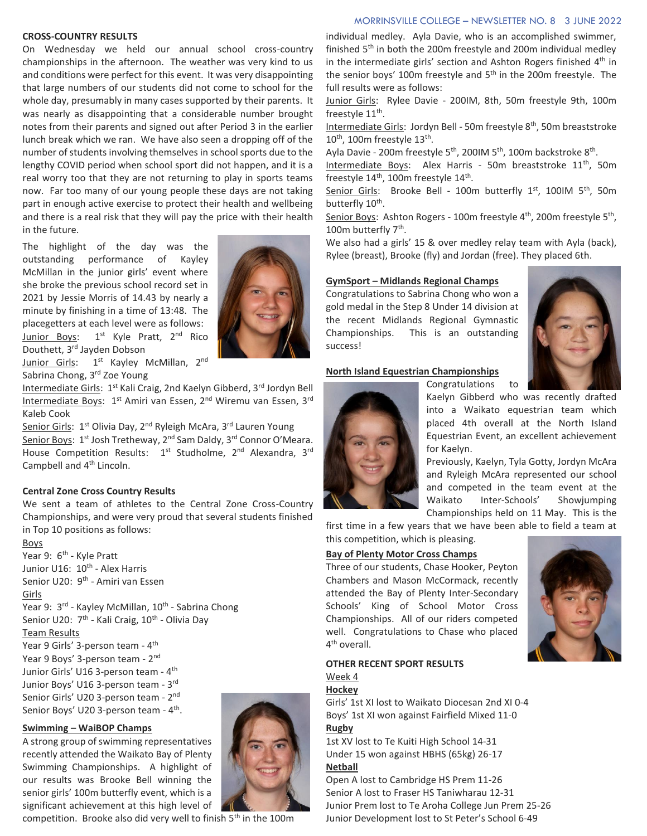#### MORRINSVILLE COLLEGE – NEWSLETTER NO. 8 3 JUNE 2022

#### **CROSS-COUNTRY RESULTS**

On Wednesday we held our annual school cross-country championships in the afternoon. The weather was very kind to us and conditions were perfect for this event. It was very disappointing that large numbers of our students did not come to school for the whole day, presumably in many cases supported by their parents. It was nearly as disappointing that a considerable number brought notes from their parents and signed out after Period 3 in the earlier lunch break which we ran. We have also seen a dropping off of the number of students involving themselves in school sports due to the lengthy COVID period when school sport did not happen, and it is a real worry too that they are not returning to play in sports teams now. Far too many of our young people these days are not taking part in enough active exercise to protect their health and wellbeing and there is a real risk that they will pay the price with their health in the future.

The highlight of the day was the outstanding performance of Kayley McMillan in the junior girls' event where she broke the previous school record set in 2021 by Jessie Morris of 14.43 by nearly a minute by finishing in a time of 13:48. The placegetters at each level were as follows: Junior Boys: 1<sup>st</sup> Kyle Pratt, 2<sup>nd</sup> Rico Douthett, 3rd Jayden Dobson



Junior Girls: 1<sup>st</sup> Kayley McMillan, 2<sup>nd</sup> Sabrina Chong, 3<sup>rd</sup> Zoe Young

Intermediate Girls: 1<sup>st</sup> Kali Craig, 2nd Kaelyn Gibberd, 3rd Jordyn Bell Intermediate Boys: 1<sup>st</sup> Amiri van Essen, 2<sup>nd</sup> Wiremu van Essen, 3<sup>rd</sup> Kaleb Cook

Senior Girls: 1<sup>st</sup> Olivia Day, 2<sup>nd</sup> Ryleigh McAra, 3<sup>rd</sup> Lauren Young Senior Boys: 1<sup>st</sup> Josh Tretheway, 2<sup>nd</sup> Sam Daldy, 3<sup>rd</sup> Connor O'Meara. House Competition Results: 1<sup>st</sup> Studholme, 2<sup>nd</sup> Alexandra, 3<sup>rd</sup> Campbell and 4<sup>th</sup> Lincoln.

#### **Central Zone Cross Country Results**

We sent a team of athletes to the Central Zone Cross-Country Championships, and were very proud that several students finished in Top 10 positions as follows:

Boys Year 9: 6<sup>th</sup> - Kyle Pratt Junior U16: 10<sup>th</sup> - Alex Harris Senior U20: 9<sup>th</sup> - Amiri van Essen Girls Year 9: 3<sup>rd</sup> - Kayley McMillan, 10<sup>th</sup> - Sabrina Chong Senior U20: 7<sup>th</sup> - Kali Craig, 10<sup>th</sup> - Olivia Day Team Results Year 9 Girls' 3-person team - 4<sup>th</sup> Year 9 Boys' 3-person team - 2<sup>nd</sup> Junior Girls' U16 3-person team - 4<sup>th</sup> Junior Boys' U16 3-person team - 3<sup>rd</sup> Senior Girls' U20 3-person team - 2<sup>nd</sup> Senior Boys' U20 3-person team - 4<sup>th</sup>.

#### **Swimming – WaiBOP Champs**

A strong group of swimming representatives recently attended the Waikato Bay of Plenty Swimming Championships. A highlight of our results was Brooke Bell winning the senior girls' 100m butterfly event, which is a significant achievement at this high level of

competition. Brooke also did very well to finish 5<sup>th</sup> in the 100m



Junior Girls: Rylee Davie - 200IM, 8th, 50m freestyle 9th, 100m freestyle 11<sup>th</sup>.

Intermediate Girls: Jordyn Bell - 50m freestyle 8<sup>th</sup>, 50m breaststroke 10<sup>th</sup>, 100m freestyle 13<sup>th</sup>.

Ayla Davie - 200m freestyle 5<sup>th</sup>, 200IM 5<sup>th</sup>, 100m backstroke 8<sup>th</sup>.

Intermediate Boys: Alex Harris - 50m breaststroke 11<sup>th</sup>, 50m freestyle 14<sup>th</sup>, 100m freestyle 14<sup>th</sup>.

Senior Girls: Brooke Bell - 100m butterfly 1st, 100IM 5th, 50m butterfly 10<sup>th</sup>.

Senior Boys: Ashton Rogers - 100m freestyle 4<sup>th</sup>, 200m freestyle 5<sup>th</sup>, 100m butterfly 7<sup>th</sup>.

We also had a girls' 15 & over medley relay team with Ayla (back), Rylee (breast), Brooke (fly) and Jordan (free). They placed 6th.

#### **GymSport – Midlands Regional Champs**

Congratulations to Sabrina Chong who won a gold medal in the Step 8 Under 14 division at the recent Midlands Regional Gymnastic Championships. This is an outstanding success!



#### **North Island Equestrian Championships**

Congratulations to



Kaelyn Gibberd who was recently drafted into a Waikato equestrian team which placed 4th overall at the North Island Equestrian Event, an excellent achievement for Kaelyn.

Previously, Kaelyn, Tyla Gotty, Jordyn McAra and Ryleigh McAra represented our school and competed in the team event at the Waikato Inter-Schools' Showjumping Championships held on 11 May. This is the

first time in a few years that we have been able to field a team at this competition, which is pleasing.

#### **Bay of Plenty Motor Cross Champs**

Three of our students, Chase Hooker, Peyton Chambers and Mason McCormack, recently attended the Bay of Plenty Inter-Secondary Schools' King of School Motor Cross Championships. All of our riders competed well. Congratulations to Chase who placed 4<sup>th</sup> overall.



# **OTHER RECENT SPORT RESULTS** Week 4

#### **Hockey**

Girls' 1st XI lost to Waikato Diocesan 2nd XI 0-4 Boys' 1st XI won against Fairfield Mixed 11-0 **Rugby**

1st XV lost to Te Kuiti High School 14-31 Under 15 won against HBHS (65kg) 26-17 **Netball**

Open A lost to Cambridge HS Prem 11-26 Senior A lost to Fraser HS Taniwharau 12-31 Junior Prem lost to Te Aroha College Jun Prem 25-26 Junior Development lost to St Peter's School 6-49